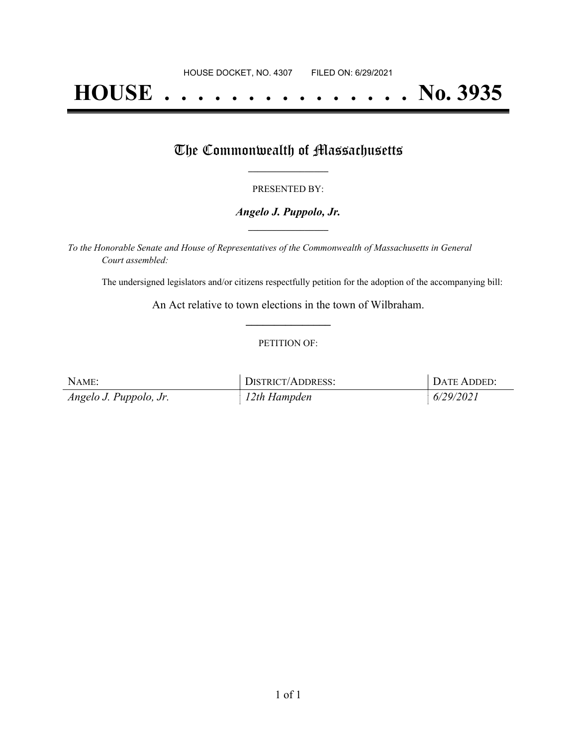# **HOUSE . . . . . . . . . . . . . . . No. 3935**

## The Commonwealth of Massachusetts

#### PRESENTED BY:

#### *Angelo J. Puppolo, Jr.* **\_\_\_\_\_\_\_\_\_\_\_\_\_\_\_\_\_**

*To the Honorable Senate and House of Representatives of the Commonwealth of Massachusetts in General Court assembled:*

The undersigned legislators and/or citizens respectfully petition for the adoption of the accompanying bill:

An Act relative to town elections in the town of Wilbraham. **\_\_\_\_\_\_\_\_\_\_\_\_\_\_\_**

#### PETITION OF:

| NAME:                  | DISTRICT/ADDRESS: | DATE ADDED: |
|------------------------|-------------------|-------------|
| Angelo J. Puppolo, Jr. | $12$ th Hampden   | 6/29/2021   |